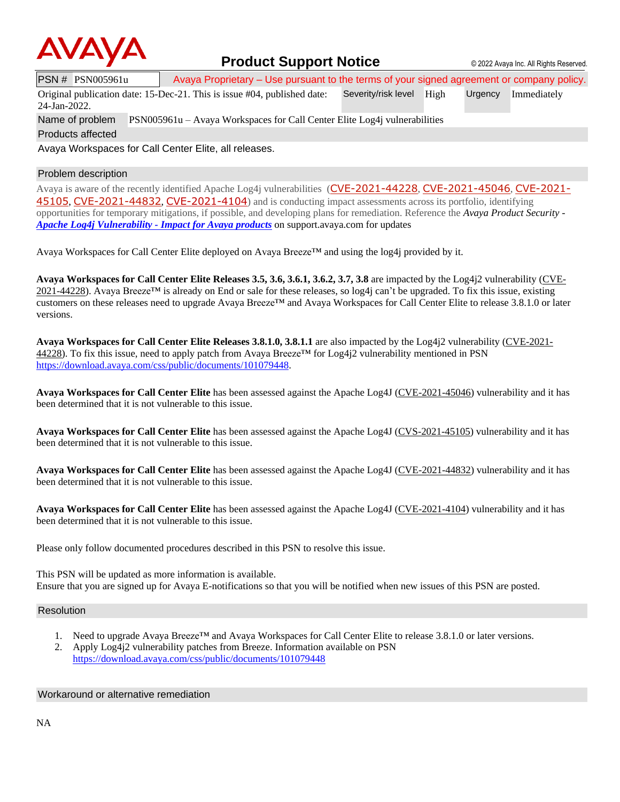

### **Product Support Notice**  $\circ$  2022 Avaya Inc. All Rights Reserved.

PSN # PSN005961u Avaya Proprietary – Use pursuant to the terms of your signed agreement or company policy.

Original publication date: 15-Dec-21. This is issue #04, published date: 24-Jan-2022. Severity/risk level High Urgency Immediately

Name of problem PSN005961u – Avaya Workspaces for Call Center Elite Log4j vulnerabilities

Products affected

Avaya Workspaces for Call Center Elite, all releases.

#### Problem description

Avaya is aware of the recently identified Apache Log4j vulnerabilities ([CVE-2021-44228](https://cve.mitre.org/cgi-bin/cvename.cgi?name=CVE-2021-44228), [CVE-2021-45046](https://cve.mitre.org/cgi-bin/cvename.cgi?name=CVE-2021-45046), [CVE-2021-](https://cve.mitre.org/cgi-bin/cvename.cgi?name=CVE-2021-45105) [45105](https://cve.mitre.org/cgi-bin/cvename.cgi?name=CVE-2021-45105), [CVE-2021-44832](https://cve.mitre.org/cgi-bin/cvename.cgi?name=CVE-2021-44832), [CVE-2021-4104](https://cve.mitre.org/cgi-bin/cvename.cgi?name=CVE-2021-4104)) and is conducting impact assessments across its portfolio, identifying opportunities for temporary mitigations, if possible, and developing plans for remediation. Reference the *Avaya Product Security - Apache Log4j Vulnerability - [Impact for Avaya products](http://www.avaya.com/emergencyupdate)* on support.avaya.com for updates

Avaya Workspaces for Call Center Elite deployed on Avaya Breeze™ and using the log4j provided by it.

**Avaya Workspaces for Call Center Elite Releases 3.5, 3.6, 3.6.1, 3.6.2, 3.7, 3.8** are impacted by the Log4j2 vulnerability [\(CVE-](https://cve.mitre.org/cgi-bin/cvename.cgi?name=CVE-2021-44228)[2021-44228\)](https://cve.mitre.org/cgi-bin/cvename.cgi?name=CVE-2021-44228). Avaya Breeze<sup>TM</sup> is already on End or sale for these releases, so log4j can't be upgraded. To fix this issue, existing customers on these releases need to upgrade Avaya Breeze™ and Avaya Workspaces for Call Center Elite to release 3.8.1.0 or later versions.

**Avaya Workspaces for Call Center Elite Releases 3.8.1.0, 3.8.1.1** are also impacted by the Log4j2 vulnerability [\(CVE-2021-](https://cve.mitre.org/cgi-bin/cvename.cgi?name=CVE-2021-44228) [44228\)](https://cve.mitre.org/cgi-bin/cvename.cgi?name=CVE-2021-44228). To fix this issue, need to apply patch from Avaya Breeze<sup>TM</sup> for Log4 $\dot{q}$ 2 vulnerability mentioned in PSN [https://download.avaya.com/css/public/documents/101079448.](https://download.avaya.com/css/public/documents/101079448)

**Avaya Workspaces for Call Center Elite** has been assessed against the Apache Log4J [\(CVE-2021-45046\)](https://cve.mitre.org/cgi-bin/cvename.cgi?name=CVE-2021-45046) vulnerability and it has been determined that it is not vulnerable to this issue.

**Avaya Workspaces for Call Center Elite** has been assessed against the Apache Log4J [\(CVS-2021-45105\)](https://cve.mitre.org/cgi-bin/cvename.cgi?name=CVE-2021-45105) vulnerability and it has been determined that it is not vulnerable to this issue.

**Avaya Workspaces for Call Center Elite** has been assessed against the Apache Log4J [\(CVE-2021-44832\)](https://cve.mitre.org/cgi-bin/cvename.cgi?name=CVE-2021-44832) vulnerability and it has been determined that it is not vulnerable to this issue.

**Avaya Workspaces for Call Center Elite** has been assessed against the Apache Log4J [\(CVE-2021-4104\)](https://cve.mitre.org/cgi-bin/cvename.cgi?name=CVE-2021-4104) vulnerability and it has been determined that it is not vulnerable to this issue.

Please only follow documented procedures described in this PSN to resolve this issue.

This PSN will be updated as more information is available. Ensure that you are signed up for Avaya E-notifications so that you will be notified when new issues of this PSN are posted.

#### Resolution

- 1. Need to upgrade Avaya Breeze™ and Avaya Workspaces for Call Center Elite to release 3.8.1.0 or later versions.
- 2. Apply Log4j2 vulnerability patches from Breeze. Information available on PSN <https://download.avaya.com/css/public/documents/101079448>

#### Workaround or alternative remediation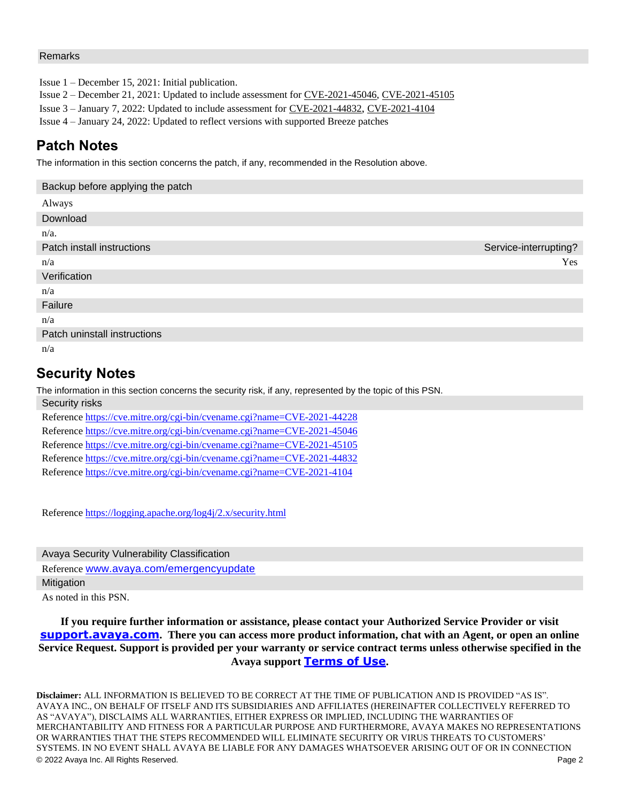#### Remarks

Issue 1 – December 15, 2021: Initial publication.

Issue 2 – December 21, 2021: Updated to include assessment fo[r CVE-2021-45046,](https://cve.mitre.org/cgi-bin/cvename.cgi?name=CVE-2021-45046) CVE-2021-45105

Issue 3 – January 7, 2022: Updated to include assessment for [CVE-2021-44832](https://cve.mitre.org/cgi-bin/cvename.cgi?name=CVE-2021-44832), [CVE-2021-4104](https://cve.mitre.org/cgi-bin/cvename.cgi?name=CVE-2021-4104)

Issue 4 – January 24, 2022: Updated to reflect versions with supported Breeze patches

# **Patch Notes**

The information in this section concerns the patch, if any, recommended in the Resolution above.

| Backup before applying the patch |                       |
|----------------------------------|-----------------------|
| Always                           |                       |
| Download                         |                       |
| $n/a$ .                          |                       |
| Patch install instructions       | Service-interrupting? |
| n/a                              | Yes                   |
| Verification                     |                       |
| n/a                              |                       |
| Failure                          |                       |
| n/a                              |                       |
| Patch uninstall instructions     |                       |
| n/a                              |                       |

## **Security Notes**

The information in this section concerns the security risk, if any, represented by the topic of this PSN. Security risks

| <b>OUGHILY HUNG</b>                                                      |
|--------------------------------------------------------------------------|
| Reference https://cve.mitre.org/cgi-bin/cvename.cgi?name=CVE-2021-44228  |
| Reference https://cve.mitre.org/cgi-bin/cvename.org/?name=CVE-2021-45046 |
| Reference https://cve.mitre.org/cgi-bin/cvename.org/?name=CVE-2021-45105 |
| Reference https://cve.mitre.org/cgi-bin/cvename.cgi?name=CVE-2021-44832  |
| Reference https://cve.mitre.org/cgi-bin/cvename.cgi?name=CVE-2021-4104   |

Reference<https://logging.apache.org/log4j/2.x/security.html>

Avaya Security Vulnerability Classification Reference [www.avaya.com/emergencyupdate](http://www.avaya.com/emergencyupdate) **Mitigation** 

As noted in this PSN.

**If you require further information or assistance, please contact your Authorized Service Provider or visit [support.avaya.com](http://support.avaya.com/). There you can access more product information, chat with an Agent, or open an online Service Request. Support is provided per your warranty or service contract terms unless otherwise specified in the Avaya support [Terms of Use](http://www.avaya.com/gcm/master-usa/en-us/includedcontent/termsofuse.htm).**

© 2022 Avaya Inc. All Rights Reserved. Page 2 **Disclaimer:** ALL INFORMATION IS BELIEVED TO BE CORRECT AT THE TIME OF PUBLICATION AND IS PROVIDED "AS IS". AVAYA INC., ON BEHALF OF ITSELF AND ITS SUBSIDIARIES AND AFFILIATES (HEREINAFTER COLLECTIVELY REFERRED TO AS "AVAYA"), DISCLAIMS ALL WARRANTIES, EITHER EXPRESS OR IMPLIED, INCLUDING THE WARRANTIES OF MERCHANTABILITY AND FITNESS FOR A PARTICULAR PURPOSE AND FURTHERMORE, AVAYA MAKES NO REPRESENTATIONS OR WARRANTIES THAT THE STEPS RECOMMENDED WILL ELIMINATE SECURITY OR VIRUS THREATS TO CUSTOMERS' SYSTEMS. IN NO EVENT SHALL AVAYA BE LIABLE FOR ANY DAMAGES WHATSOEVER ARISING OUT OF OR IN CONNECTION